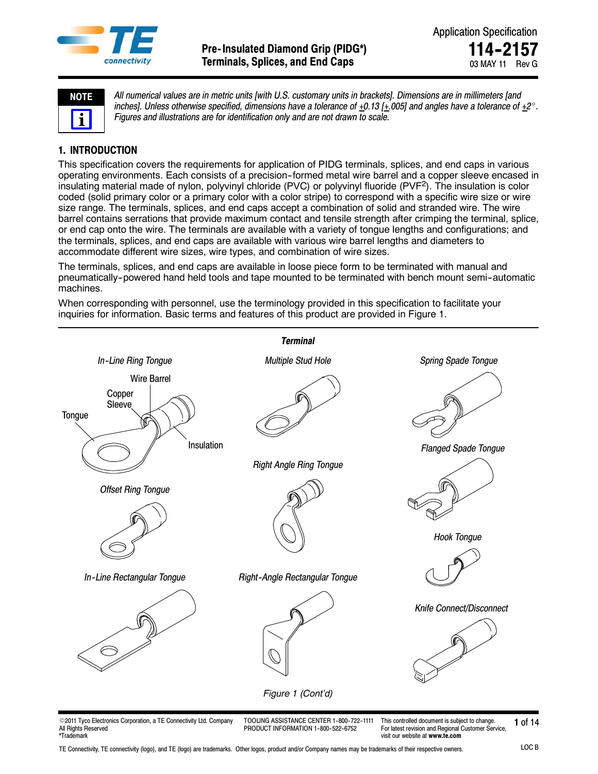



*All numerical values are in metric units [with U.S. customary units in brackets]. Dimensions are in millimeters [and* inches]. Unless otherwise specified, dimensions have a tolerance of  $\pm 0.13$  [ $\pm .005$ ] and angles have a tolerance of  $\pm 2^\circ$ . *Figures and illustrations are for identification only and are not drawn to scale.*

# **1. INTRODUCTION**

This specification covers the requirements for application of PIDG terminals, splices, and end caps in various operating environments. Each consists of a precision--formed metal wire barrel and a copper sleeve encased in insulating material made of nylon, polyvinyl chloride (PVC) or polyvinyl fluoride (PVF<sup>2</sup>). The insulation is color coded (solid primary color or a primary color with a color stripe) to correspond with a specific wire size or wire size range. The terminals, splices, and end caps accept a combination of solid and stranded wire. The wire barrel contains serrations that provide maximum contact and tensile strength after crimping the terminal, splice, or end cap onto the wire. The terminals are available with a variety of tongue lengths and configurations; and the terminals, splices, and end caps are available with various wire barrel lengths and diameters to accommodate different wire sizes, wire types, and combination of wire sizes.

The terminals, splices, and end caps are available in loose piece form to be terminated with manual and pneumatically--powered hand held tools and tape mounted to be terminated with bench mount semi--automatic machines.

When corresponding with personnel, use the terminology provided in this specification to facilitate your inquiries for information. Basic terms and features of this product are provided in Figure 1.



© 2011 Tyco Electronics Corporation, a TE Connectivity Ltd. Company All Rights Reserved \*Trademark

TOOLING ASSISTANCE CENTER 1-800-722-1111 PRODUCT INFORMATION 1-800-522-6752

**1** of 14 This controlled document is subject to change. For latest revision and Regional Customer Service, visit our website at **www.te.com**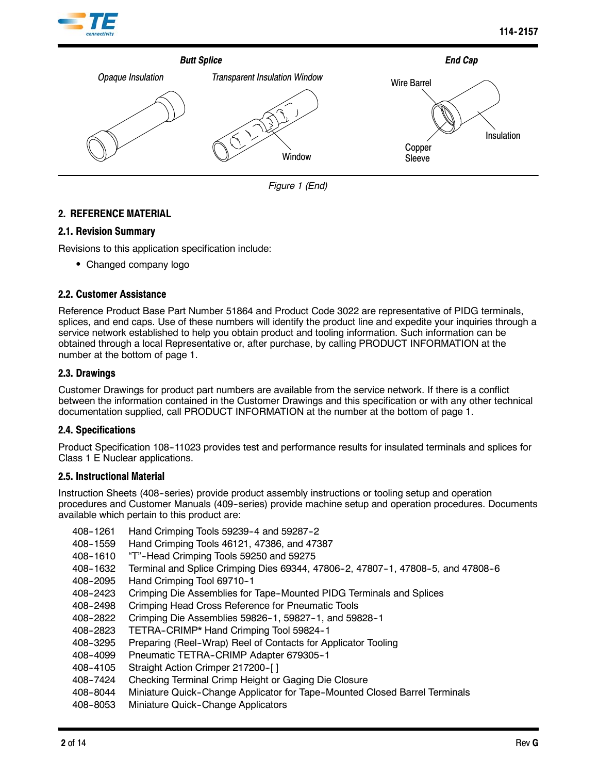



*Figure 1 (End)*

# **2. REFERENCE MATERIAL**

# **2.1. Revision Summary**

Revisions to this application specification include:

• Changed company logo

# **2.2. Customer Assistance**

Reference Product Base Part Number 51864 and Product Code 3022 are representative of PIDG terminals, splices, and end caps. Use of these numbers will identify the product line and expedite your inquiries through a service network established to help you obtain product and tooling information. Such information can be obtained through a local Representative or, after purchase, by calling PRODUCT INFORMATION at the number at the bottom of page 1.

# **2.3. Drawings**

Customer Drawings for product part numbers are available from the service network. If there is a conflict between the information contained in the Customer Drawings and this specification or with any other technical documentation supplied, call PRODUCT INFORMATION at the number at the bottom of page 1.

# **2.4. Specifications**

Product Specification 108-11023 provides test and performance results for insulated terminals and splices for Class 1 E Nuclear applications.

### **2.5. Instructional Material**

Instruction Sheets (408-series) provide product assembly instructions or tooling setup and operation procedures and Customer Manuals (409--series) provide machine setup and operation procedures. Documents available which pertain to this product are:

- 408-1261 Hand Crimping Tools 59239-4 and 59287-2
- 408--1559 Hand Crimping Tools 46121, 47386, and 47387
- 408-1610 "T"-Head Crimping Tools 59250 and 59275
- 408-1632 Terminal and Splice Crimping Dies 69344, 47806-2, 47807-1, 47808-5, and 47808-6
- 408--2095 Hand Crimping Tool 69710--1
- 408-2423 Crimping Die Assemblies for Tape-Mounted PIDG Terminals and Splices
- 408-2498 Crimping Head Cross Reference for Pneumatic Tools
- 408-2822 Crimping Die Assemblies 59826-1, 59827-1, and 59828-1
- 408-2823 TETRA-CRIMP\* Hand Crimping Tool 59824-1
- 408-3295 Preparing (Reel-Wrap) Reel of Contacts for Applicator Tooling
- 408-4099 Pneumatic TETRA-CRIMP Adapter 679305-1
- 408--4105 Straight Action Crimper 217200--[ ]
- 408-7424 Checking Terminal Crimp Height or Gaging Die Closure
- 408-8044 Miniature Quick-Change Applicator for Tape-Mounted Closed Barrel Terminals
- 408-8053 Miniature Quick-Change Applicators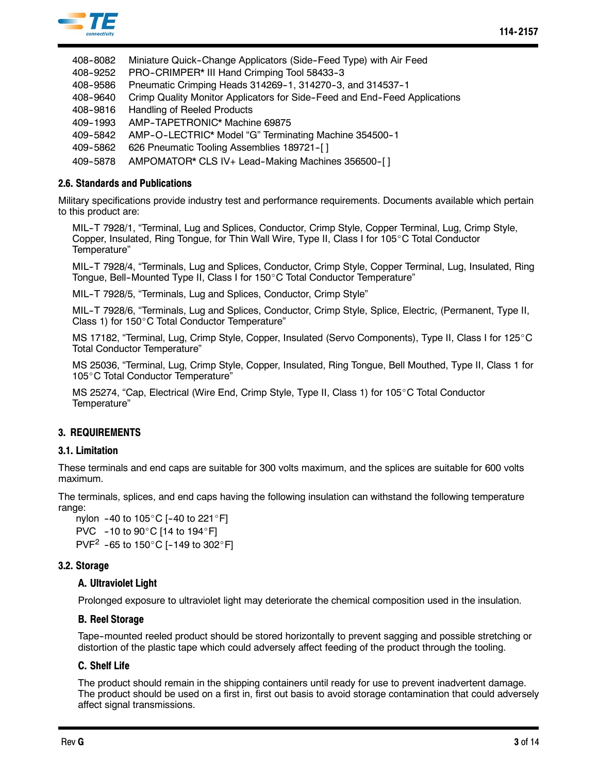

- 408-8082 Miniature Quick-Change Applicators (Side-Feed Type) with Air Feed
- 408-9252 PRO-CRIMPER\* III Hand Crimping Tool 58433-3
- 408-9586 Pneumatic Crimping Heads 314269-1, 314270-3, and 314537-1
- 408-9640 Crimp Quality Monitor Applicators for Side-Feed and End-Feed Applications
- 408-9816 Handling of Reeled Products
- 409-1993 AMP-TAPETRONIC\* Machine 69875
- 409-5842 AMP-O-LECTRIC\* Model "G" Terminating Machine 354500-1
- 409-5862 626 Pneumatic Tooling Assemblies 189721-[]
- 409-5878 AMPOMATOR\* CLS IV+ Lead-Making Machines 356500-[]

### **2.6. Standards and Publications**

Military specifications provide industry test and performance requirements. Documents available which pertain to this product are:

MIL--T 7928/1, "Terminal, Lug and Splices, Conductor, Crimp Style, Copper Terminal, Lug, Crimp Style, Copper, Insulated, Ring Tongue, for Thin Wall Wire, Type II, Class I for 105°C Total Conductor Temperature"

MIL--T 7928/4, "Terminals, Lug and Splices, Conductor, Crimp Style, Copper Terminal, Lug, Insulated, Ring Tongue, Bell-Mounted Type II, Class I for 150°C Total Conductor Temperature"

MIL-T 7928/5, "Terminals, Lug and Splices, Conductor, Crimp Style"

MIL--T 7928/6, "Terminals, Lug and Splices, Conductor, Crimp Style, Splice, Electric, (Permanent, Type II, Class 1) for 150°C Total Conductor Temperature"

MS 17182, "Terminal, Lug, Crimp Style, Copper, Insulated (Servo Components), Type II, Class I for 125°C Total Conductor Temperature"

MS 25036, "Terminal, Lug, Crimp Style, Copper, Insulated, Ring Tongue, Bell Mouthed, Type II, Class 1 for 105°C Total Conductor Temperature"

MS 25274, "Cap, Electrical (Wire End, Crimp Style, Type II, Class 1) for 105°C Total Conductor Temperature"

# **3. REQUIREMENTS**

### **3.1. Limitation**

These terminals and end caps are suitable for 300 volts maximum, and the splices are suitable for 600 volts maximum.

The terminals, splices, and end caps having the following insulation can withstand the following temperature range:

nylon  $-40$  to  $105^{\circ}$ C [-40 to 221 $^{\circ}$ F] PVC  $-10$  to 90 $^{\circ}$ C [14 to 194 $^{\circ}$ F] PVF<sup>2</sup> -65 to 150 $^{\circ}$ C [-149 to 302 $^{\circ}$ F]

### **3.2. Storage**

### **A. Ultraviolet Light**

Prolonged exposure to ultraviolet light may deteriorate the chemical composition used in the insulation.

### **B. Reel Storage**

Tape--mounted reeled product should be stored horizontally to prevent sagging and possible stretching or distortion of the plastic tape which could adversely affect feeding of the product through the tooling.

### **C. Shelf Life**

The product should remain in the shipping containers until ready for use to prevent inadvertent damage. The product should be used on a first in, first out basis to avoid storage contamination that could adversely affect signal transmissions.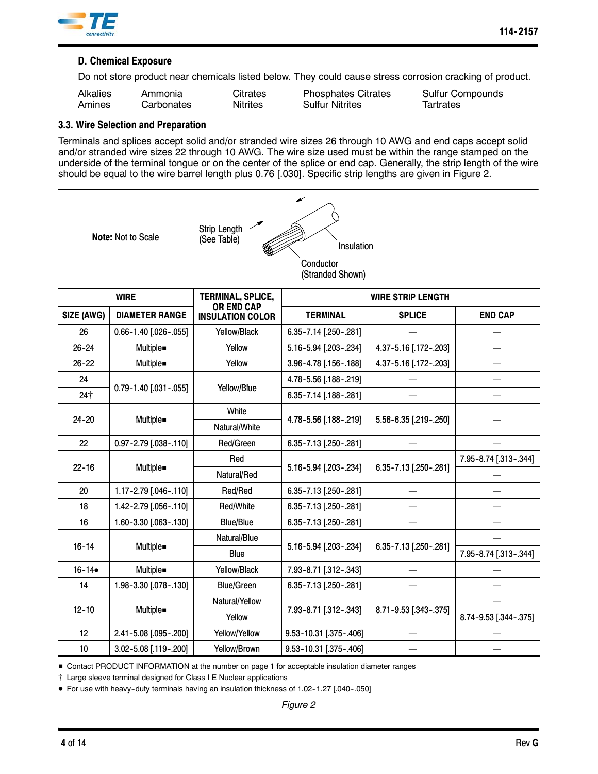

# **D. Chemical Exposure**

Do not store product near chemicals listed below. They could cause stress corrosion cracking of product.

| <b>Alkalies</b> | Ammonia    | Citrates        | <b>Phosphates Citrates</b> | Sulfur Co |
|-----------------|------------|-----------------|----------------------------|-----------|
| Amines          | Carbonates | <b>Nitrites</b> | <b>Sulfur Nitrites</b>     | Tartrates |

tes Citrates Sulfur Compounds

# **3.3. Wire Selection and Preparation**

Terminals and splices accept solid and/or stranded wire sizes 26 through 10 AWG and end caps accept solid and/or stranded wire sizes 22 through 10 AWG. The wire size used must be within the range stamped on the underside of the terminal tongue or on the center of the splice or end cap. Generally, the strip length of the wire should be equal to the wire barrel length plus 0.76 [.030]. Specific strip lengths are given in Figure 2.



| <b>WIRE</b> |                             | <b>TERMINAL, SPLICE,</b>                     | <b>WIRE STRIP LENGTH</b> |                       |                       |  |
|-------------|-----------------------------|----------------------------------------------|--------------------------|-----------------------|-----------------------|--|
| SIZE (AWG)  | <b>DIAMETER RANGE</b>       | <b>OR END CAP</b><br><b>INSULATION COLOR</b> | <b>TERMINAL</b>          | <b>SPLICE</b>         | <b>END CAP</b>        |  |
| 26          | $0.66 - 1.40$ [.026 - .055] | Yellow/Black                                 | 6.35-7.14 [.250-.281]    |                       |                       |  |
| $26 - 24$   | Multiple.                   | Yellow                                       | 5.16-5.94 [.203-.234]    | 4.37-5.16 [.172-.203] |                       |  |
| $26 - 22$   | Multiple.                   | Yellow                                       | 3.96-4.78 [.156-.188]    | 4.37-5.16 [.172-.203] |                       |  |
| 24          |                             |                                              | 4.78-5.56 [.188-.219]    |                       |                       |  |
| $24+$       | 0.79-1.40 [.031-.055]       | Yellow/Blue                                  | 6.35-7.14 [.188-.281]    |                       |                       |  |
|             |                             | White                                        |                          |                       |                       |  |
| $24 - 20$   | Multiple.                   | Natural/White                                | 4.78-5.56 [.188-.219]    | 5.56-6.35 [.219-.250] |                       |  |
| 22          | 0.97-2.79 [.038-.110]       | Red/Green                                    | 6.35-7.13 [.250-.281]    |                       |                       |  |
| $22 - 16$   | Multiple.                   | Red                                          |                          |                       | 7.95-8.74 [.313-.344] |  |
|             |                             | Natural/Red                                  | 5.16-5.94 [.203-.234]    | 6.35-7.13 [.250-.281] |                       |  |
| 20          | 1.17-2.79 [.046-.110]       | Red/Red                                      | 6.35-7.13 [.250-.281]    |                       |                       |  |
| 18          | 1.42-2.79 [.056-.110]       | Red/White                                    | 6.35-7.13 [.250-.281]    |                       |                       |  |
| 16          | 1.60-3.30 [.063-.130]       | <b>Blue/Blue</b>                             | 6.35-7.13 [.250-.281]    |                       |                       |  |
|             |                             | Natural/Blue                                 |                          |                       |                       |  |
| $16 - 14$   | Multiple.                   | Blue                                         | 5.16-5.94 [.203-.234]    | 6.35-7.13 [.250-.281] | 7.95-8.74 [.313-.344] |  |
| $16 - 14$   | Multiple.                   | Yellow/Black                                 | 7.93-8.71 [.312-.343]    |                       |                       |  |
| 14          | 1.98-3.30 [.078-.130]       | <b>Blue/Green</b>                            | 6.35-7.13 [.250-.281]    |                       |                       |  |
| $12 - 10$   |                             | Natural/Yellow                               |                          |                       |                       |  |
|             | Multiple.                   | Yellow                                       | 7.93-8.71 [.312-.343]    | 8.71-9.53 [.343-.375] | 8.74-9.53 [.344-.375] |  |
| 12          | 2.41-5.08 [.095-.200]       | Yellow/Yellow                                | 9.53-10.31 [.375-.406]   |                       |                       |  |
| 10          | 3.02-5.08 [.119-.200]       | Yellow/Brown                                 | 9.53-10.31 [.375-.406]   |                       |                       |  |

Gontact PRODUCT INFORMATION at the number on page 1 for acceptable insulation diameter ranges

 $\dagger$  Large sleeve terminal designed for Class I E Nuclear applications

● For use with heavy-duty terminals having an insulation thickness of 1.02-1.27 [.040-.050]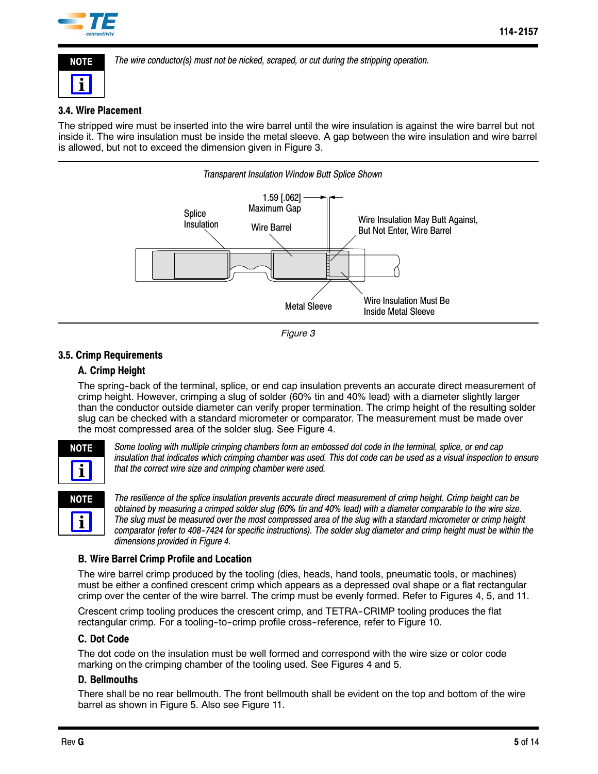

**NOTE**

**i**

*The wire conductor(s) must not be nicked, scraped, or cut during the stripping operation.*

# **3.4. Wire Placement**

The stripped wire must be inserted into the wire barrel until the wire insulation is against the wire barrel but not inside it. The wire insulation must be inside the metal sleeve. A gap between the wire insulation and wire barrel is allowed, but not to exceed the dimension given in Figure 3.





# **3.5. Crimp Requirements**

# **A. Crimp Height**

The spring--back of the terminal, splice, or end cap insulation prevents an accurate direct measurement of crimp height. However, crimping a slug of solder (60% tin and 40% lead) with a diameter slightly larger than the conductor outside diameter can verify proper termination. The crimp height of the resulting solder slug can be checked with a standard micrometer or comparator. The measurement must be made over the most compressed area of the solder slug. See Figure 4.



*Some tooling with multiple crimping chambers form an embossed dot code in the terminal, splice, or end cap insulation that indicates which crimping chamber was used. This dot code can be used as a visual inspection to ensure that the correct wire size and crimping chamber were used.*

| ı<br>J |  |
|--------|--|
|        |  |

*The resilience of the splice insulation prevents accurate direct measurement of crimp height. Crimp height can be obtained by measuring a crimped solder slug (60% tin and 40% lead) with a diameter comparable to the wire size. The slug must be measured over the most compressed area of the slug with a standard micrometer or crimp height comparator (refer to 408--7424 for specific instructions). The solder slug diameter and crimp height must be within the dimensions provided in Figure 4.*

# **B. Wire Barrel Crimp Profile and Location**

The wire barrel crimp produced by the tooling (dies, heads, hand tools, pneumatic tools, or machines) must be either a confined crescent crimp which appears as a depressed oval shape or a flat rectangular crimp over the center of the wire barrel. The crimp must be evenly formed. Refer to Figures 4, 5, and 11.

Crescent crimp tooling produces the crescent crimp, and TETRA--CRIMP tooling produces the flat rectangular crimp. For a tooling-to-crimp profile cross-reference, refer to Figure 10.

# **C. Dot Code**

The dot code on the insulation must be well formed and correspond with the wire size or color code marking on the crimping chamber of the tooling used. See Figures 4 and 5.

### **D. Bellmouths**

There shall be no rear bellmouth. The front bellmouth shall be evident on the top and bottom of the wire barrel as shown in Figure 5. Also see Figure 11.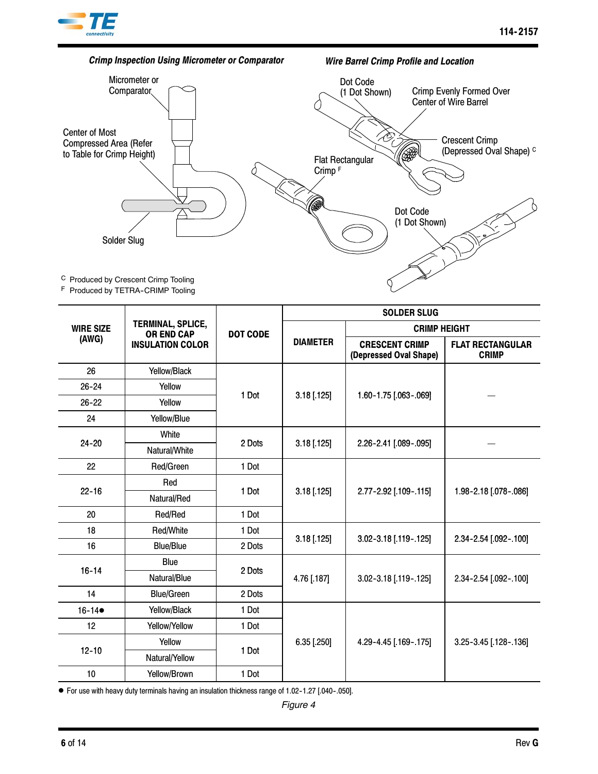



F Produced by TETRA-CRIMP Tooling

|                           |                                        | <b>DOT CODE</b> | <b>SOLDER SLUG</b> |                                                 |                                         |  |
|---------------------------|----------------------------------------|-----------------|--------------------|-------------------------------------------------|-----------------------------------------|--|
| <b>WIRE SIZE</b><br>(AWG) | TERMINAL, SPLICE,<br><b>OR END CAP</b> |                 |                    | <b>CRIMP HEIGHT</b>                             |                                         |  |
|                           | <b>INSULATION COLOR</b>                |                 | <b>DIAMETER</b>    | <b>CRESCENT CRIMP</b><br>(Depressed Oval Shape) | <b>FLAT RECTANGULAR</b><br><b>CRIMP</b> |  |
| 26                        | Yellow/Black                           |                 |                    |                                                 |                                         |  |
| $26 - 24$                 | Yellow                                 | 1 Dot           |                    |                                                 |                                         |  |
| $26 - 22$                 | Yellow                                 |                 | $3.18$ [.125]      | 1.60-1.75 [.063-.069]                           |                                         |  |
| 24                        | Yellow/Blue                            |                 |                    |                                                 |                                         |  |
|                           | White                                  |                 | $3.18$ [.125]      | 2.26-2.41 [.089-.095]                           |                                         |  |
| $24 - 20$                 | Natural/White                          | 2 Dots          |                    |                                                 |                                         |  |
| 22                        | Red/Green                              | 1 Dot           |                    |                                                 |                                         |  |
|                           | Red                                    |                 | $3.18$ [.125]      | 2.77-2.92 [.109-.115]                           | 1.98-2.18 [.078-.086]                   |  |
| $22 - 16$                 | Natural/Red                            | 1 Dot           |                    |                                                 |                                         |  |
| 20                        | Red/Red                                | 1 Dot           |                    |                                                 |                                         |  |
| 18                        | Red/White                              | 1 Dot           |                    |                                                 | 2.34-2.54 [.092-.100]                   |  |
| 16                        | <b>Blue/Blue</b>                       | 2 Dots          | $3.18$ [.125]      | 3.02-3.18 [.119-.125]                           |                                         |  |
|                           | Blue                                   |                 |                    | 3.02-3.18 [.119-.125]                           | 2.34-2.54 [.092-.100]                   |  |
| $16 - 14$                 | Natural/Blue                           | 2 Dots          | 4.76 [.187]        |                                                 |                                         |  |
| 14                        | <b>Blue/Green</b>                      | 2 Dots          |                    |                                                 |                                         |  |
| $16 - 14$                 | Yellow/Black                           | 1 Dot           |                    |                                                 |                                         |  |
| 12                        | Yellow/Yellow                          | 1 Dot           |                    | 4.29-4.45 [.169-.175]                           | 3.25-3.45 [.128-.136]                   |  |
| $12 - 10$                 | Yellow                                 |                 | $6.35$ [.250]      |                                                 |                                         |  |
|                           | Natural/Yellow                         | 1 Dot           |                    |                                                 |                                         |  |
| 10                        | Yellow/Brown                           | 1 Dot           |                    |                                                 |                                         |  |

● For use with heavy duty terminals having an insulation thickness range of 1.02-1.27 [.040-.050].

*Figure 4*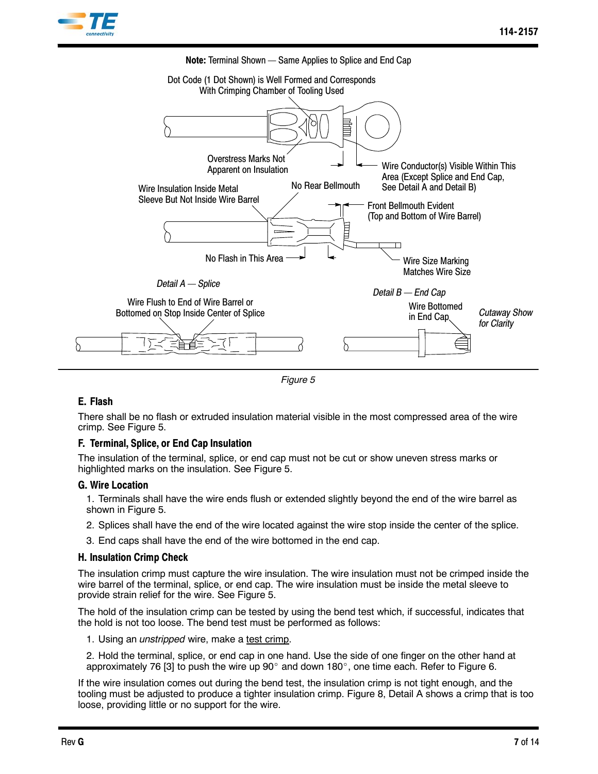





### **E. Flash**

There shall be no flash or extruded insulation material visible in the most compressed area of the wire crimp. See Figure 5.

### **F. Terminal, Splice, or End Cap Insulation**

The insulation of the terminal, splice, or end cap must not be cut or show uneven stress marks or highlighted marks on the insulation. See Figure 5.

#### **G. Wire Location**

1. Terminals shall have the wire ends flush or extended slightly beyond the end of the wire barrel as shown in Figure 5.

- 2. Splices shall have the end of the wire located against the wire stop inside the center of the splice.
- 3. End caps shall have the end of the wire bottomed in the end cap.

### **H. Insulation Crimp Check**

The insulation crimp must capture the wire insulation. The wire insulation must not be crimped inside the wire barrel of the terminal, splice, or end cap. The wire insulation must be inside the metal sleeve to provide strain relief for the wire. See Figure 5.

The hold of the insulation crimp can be tested by using the bend test which, if successful, indicates that the hold is not too loose. The bend test must be performed as follows:

1. Using an *unstripped* wire, make a test crimp.

2. Hold the terminal, splice, or end cap in one hand. Use the side of one finger on the other hand at approximately 76 [3] to push the wire up 90 $^{\circ}$  and down 180 $^{\circ}$ , one time each. Refer to Figure 6.

If the wire insulation comes out during the bend test, the insulation crimp is not tight enough, and the tooling must be adjusted to produce a tighter insulation crimp. Figure 8, Detail A shows a crimp that is too loose, providing little or no support for the wire.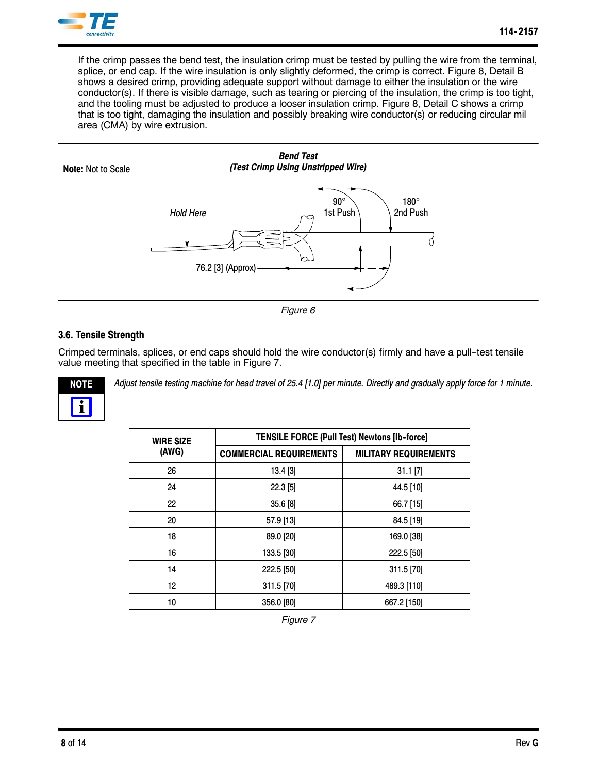

If the crimp passes the bend test, the insulation crimp must be tested by pulling the wire from the terminal, splice, or end cap. If the wire insulation is only slightly deformed, the crimp is correct. Figure 8, Detail B shows a desired crimp, providing adequate support without damage to either the insulation or the wire conductor(s). If there is visible damage, such as tearing or piercing of the insulation, the crimp is too tight, and the tooling must be adjusted to produce a looser insulation crimp. Figure 8, Detail C shows a crimp that is too tight, damaging the insulation and possibly breaking wire conductor(s) or reducing circular mil area (CMA) by wire extrusion.



#### *Figure 6*

# **3.6. Tensile Strength**

Crimped terminals, splices, or end caps should hold the wire conductor(s) firmly and have a pull--test tensile value meeting that specified in the table in Figure 7.



*Adjust tensile testing machine for head travel of 25.4 [1.0] per minute. Directly and gradually apply force for 1 minute.*

| <b>WIRE SIZE</b> | <b>TENSILE FORCE (Pull Test) Newtons [Ib-force]</b> |                              |  |  |  |
|------------------|-----------------------------------------------------|------------------------------|--|--|--|
| (AWG)            | <b>COMMERCIAL REQUIREMENTS</b>                      | <b>MILITARY REQUIREMENTS</b> |  |  |  |
| 26               | 13.4 [3]                                            | $31.1$ [7]                   |  |  |  |
| 24               | $22.3$ [5]                                          | 44.5 [10]                    |  |  |  |
| 22               | 35.6 [8]                                            | 66.7 [15]                    |  |  |  |
| 20               | 57.9 [13]                                           | 84.5 [19]                    |  |  |  |
| 18               | 89.0 [20]                                           | 169.0 [38]                   |  |  |  |
| 16               | 133.5 [30]                                          | 222.5 [50]                   |  |  |  |
| 14               | 222.5 [50]                                          | 311.5 [70]                   |  |  |  |
| 12               | 311.5 [70]                                          | 489.3 [110]                  |  |  |  |
| 10               | 356.0 [80]                                          | 667.2 [150]                  |  |  |  |

*Figure 7*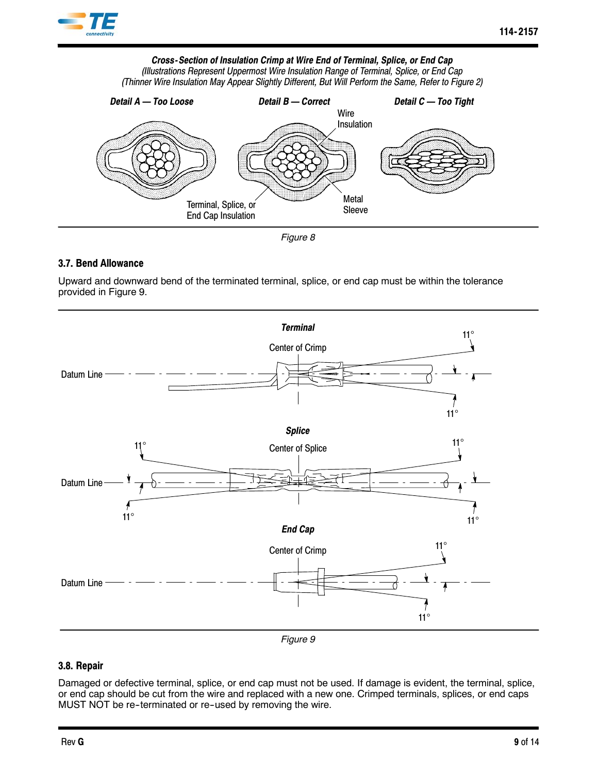

# *Cross-Section of Insulation Crimp at Wire End of Terminal, Splice, or End Cap*

*(Illustrations Represent Uppermost Wire Insulation Range of Terminal, Splice, or End Cap (Thinner Wire Insulation May Appear Slightly Different, But Will Perform the Same, Refer to Figure 2)*



*Figure 8*

# **3.7. Bend Allowance**

Upward and downward bend of the terminated terminal, splice, or end cap must be within the tolerance provided in Figure 9.



### *Figure 9*

# **3.8. Repair**

Damaged or defective terminal, splice, or end cap must not be used. If damage is evident, the terminal, splice, or end cap should be cut from the wire and replaced with a new one. Crimped terminals, splices, or end caps MUST NOT be re-terminated or re-used by removing the wire.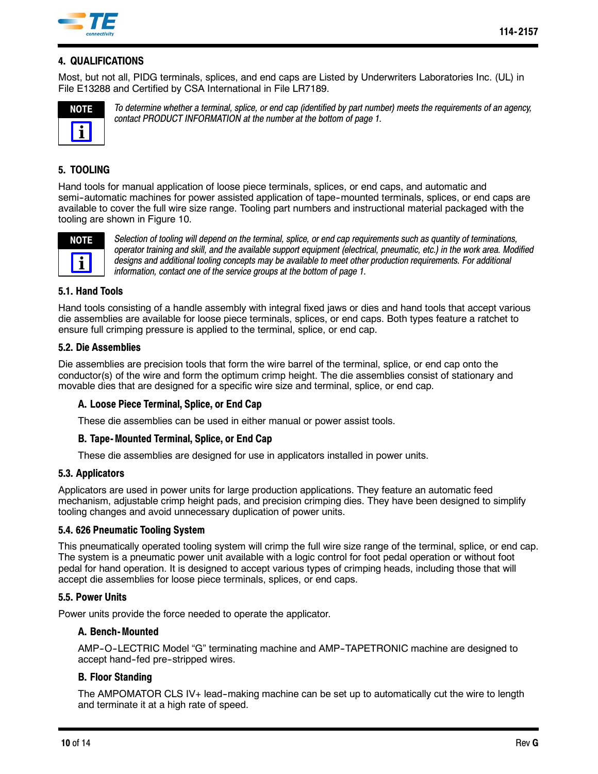

# **4. QUALIFICATIONS**

Most, but not all, PIDG terminals, splices, and end caps are Listed by Underwriters Laboratories Inc. (UL) in File E13288 and Certified by CSA International in File LR7189.



*To determine whether a terminal, splice, or end cap (identified by part number) meets the requirements of an agency, contact PRODUCT INFORMATION at the number at the bottom of page 1.*

# **5. TOOLING**

Hand tools for manual application of loose piece terminals, splices, or end caps, and automatic and semi-automatic machines for power assisted application of tape-mounted terminals, splices, or end caps are available to cover the full wire size range. Tooling part numbers and instructional material packaged with the tooling are shown in Figure 10.



*Selection of tooling will depend on the terminal, splice, or end cap requirements such as quantity of terminations, operator training and skill, and the available support equipment (electrical, pneumatic, etc.) in the work area. Modified designs and additional tooling concepts may be available to meet other production requirements. For additional information, contact one of the service groups at the bottom of page 1.*

### **5.1. Hand Tools**

Hand tools consisting of a handle assembly with integral fixed jaws or dies and hand tools that accept various die assemblies are available for loose piece terminals, splices, or end caps. Both types feature a ratchet to ensure full crimping pressure is applied to the terminal, splice, or end cap.

### **5.2. Die Assemblies**

Die assemblies are precision tools that form the wire barrel of the terminal, splice, or end cap onto the conductor(s) of the wire and form the optimum crimp height. The die assemblies consist of stationary and movable dies that are designed for a specific wire size and terminal, splice, or end cap.

# **A. Loose Piece Terminal, Splice, or End Cap**

These die assemblies can be used in either manual or power assist tools.

# **B. Tape- Mounted Terminal, Splice, or End Cap**

These die assemblies are designed for use in applicators installed in power units.

### **5.3. Applicators**

Applicators are used in power units for large production applications. They feature an automatic feed mechanism, adjustable crimp height pads, and precision crimping dies. They have been designed to simplify tooling changes and avoid unnecessary duplication of power units.

### **5.4. 626 Pneumatic Tooling System**

This pneumatically operated tooling system will crimp the full wire size range of the terminal, splice, or end cap. The system is a pneumatic power unit available with a logic control for foot pedal operation or without foot pedal for hand operation. It is designed to accept various types of crimping heads, including those that will accept die assemblies for loose piece terminals, splices, or end caps.

### **5.5. Power Units**

Power units provide the force needed to operate the applicator.

### **A. Bench- Mounted**

AMP-O-LECTRIC Model "G" terminating machine and AMP-TAPETRONIC machine are designed to accept hand-fed pre-stripped wires.

# **B. Floor Standing**

The AMPOMATOR CLS IV+ lead-making machine can be set up to automatically cut the wire to length and terminate it at a high rate of speed.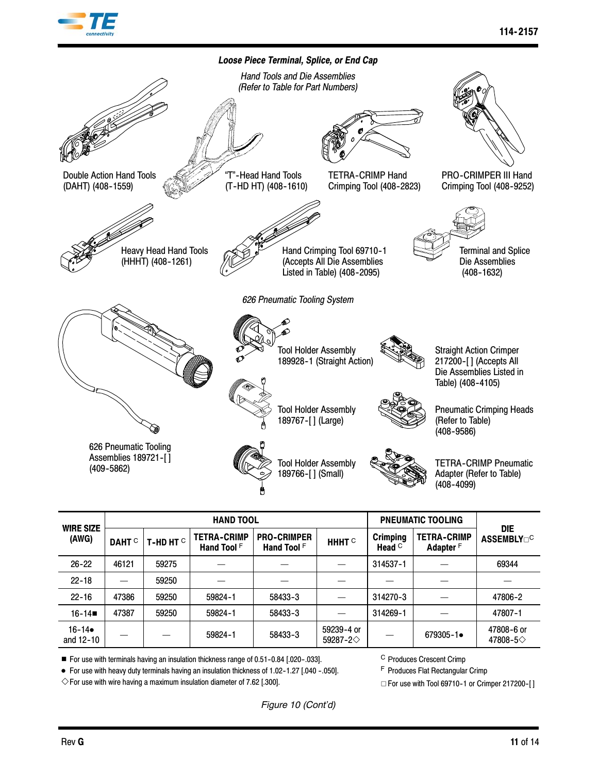



| <b>WIRE SIZE</b>       | <b>HAND TOOL</b>  |                 |                                   |                                   |                                      | <b>PNEUMATIC TOOLING</b>        |                                            | <b>DIE</b>                     |
|------------------------|-------------------|-----------------|-----------------------------------|-----------------------------------|--------------------------------------|---------------------------------|--------------------------------------------|--------------------------------|
| (AWG)                  | DAHT <sup>C</sup> | T-HD HT $\circ$ | <b>TETRA-CRIMP</b><br>Hand Tool F | <b>PRO-CRIMPER</b><br>Hand Tool F | HHHT <sup>C</sup>                    | <b>Crimping</b><br>Head $\circ$ | <b>TETRA-CRIMP</b><br>Adapter <sup>F</sup> | <b>ASSEMBLY</b> <sub>O</sub> C |
| $26 - 22$              | 46121             | 59275           |                                   |                                   |                                      | 314537-1                        |                                            | 69344                          |
| $22 - 18$              |                   | 59250           |                                   |                                   |                                      |                                 |                                            |                                |
| $22 - 16$              | 47386             | 59250           | 59824-1                           | 58433-3                           |                                      | 314270-3                        |                                            | 47806-2                        |
| $16 - 14$              | 47387             | 59250           | 59824-1                           | 58433-3                           |                                      | 314269-1                        |                                            | 47807-1                        |
| $16 - 14$<br>and 12-10 |                   |                 | 59824-1                           | 58433-3                           | 59239-4 or<br>59287-2 $\diamondsuit$ |                                 | $679305 - 1$                               | 47808-6 or<br>47808-5◇         |

 $\blacksquare$  For use with terminals having an insulation thickness range of 0.51-0.84 [.020-.033].

● For use with heavy duty terminals having an insulation thickness of 1.02-1.27 [.040 -.050].

 $\diamond$  For use with wire having a maximum insulation diameter of 7.62 [.300].

C Produces Crescent Crimp

F Produces Flat Rectangular Crimp

 $\Box$  For use with Tool 69710-1 or Crimper 217200-[]

*Figure 10 (Cont'd)*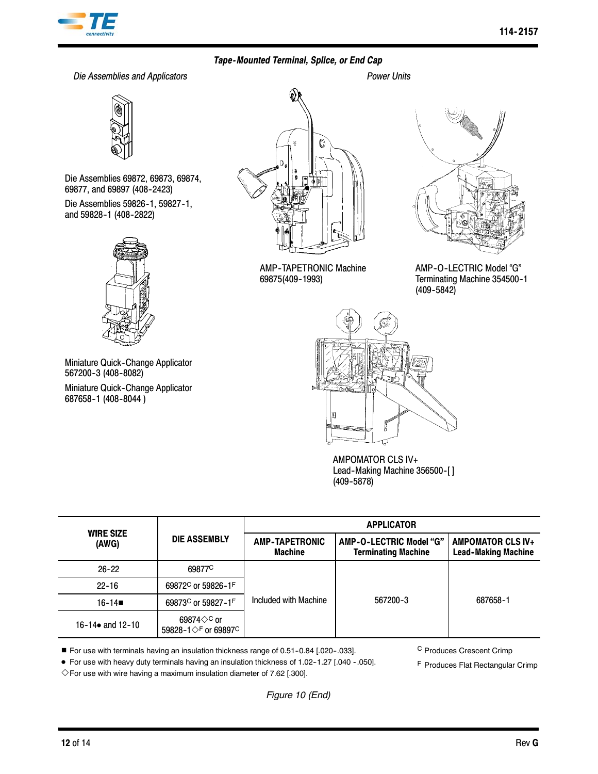

# *Tape-Mounted Terminal, Splice, or End Cap*

*Die Assemblies and Applicators Power Units*



Die Assemblies 69872, 69873, 69874, 69877, and 69897 (408-2423)

Die Assemblies 59826-1, 59827-1, and 59828-1 (408-2822)



Miniature Quick-Change Applicator 567200-3 (408-8082) Miniature Quick-Change Applicator

687658-1 (408-8044)



AMP--TAPETRONIC Machine 69875(409--1993)



AMP-O-LECTRIC Model "G" Terminating Machine 354500-1  $(409 - 5842)$ 



AMPOMATOR CLS IV+ Lead-Making Machine 356500-[]  $(409 - 5878)$ 

| <b>WIRE SIZE</b>          |                                                                      | <b>APPLICATOR</b>                       |                                                       |                                                        |  |
|---------------------------|----------------------------------------------------------------------|-----------------------------------------|-------------------------------------------------------|--------------------------------------------------------|--|
| (AWG)                     | <b>DIE ASSEMBLY</b>                                                  | <b>AMP-TAPETRONIC</b><br><b>Machine</b> | AMP-O-LECTRIC Model "G"<br><b>Terminating Machine</b> | <b>AMPOMATOR CLS IV+</b><br><b>Lead-Making Machine</b> |  |
| $26 - 22$                 | 69877 <sup>C</sup>                                                   |                                         | 567200-3                                              | 687658-1                                               |  |
| $22 - 16$                 | 69872 <sup>C</sup> or 59826-1F                                       |                                         |                                                       |                                                        |  |
| $16 - 14$                 | 69873 <sup>C</sup> or 59827-1F                                       | Included with Machine                   |                                                       |                                                        |  |
| 16-14 $\bullet$ and 12-10 | 69874 $\diamond$ <sup>C</sup> or<br>59828-1 √F or 69897 <sup>C</sup> |                                         |                                                       |                                                        |  |

■ For use with terminals having an insulation thickness range of 0.51-0.84 [.020-.033].

● For use with heavy duty terminals having an insulation thickness of 1.02-1.27 [.040 -.050].

C Produces Crescent Crimp

F Produces Flat Rectangular Crimp

 $\Diamond$  For use with wire having a maximum insulation diameter of 7.62 [.300].

*Figure 10 (End)*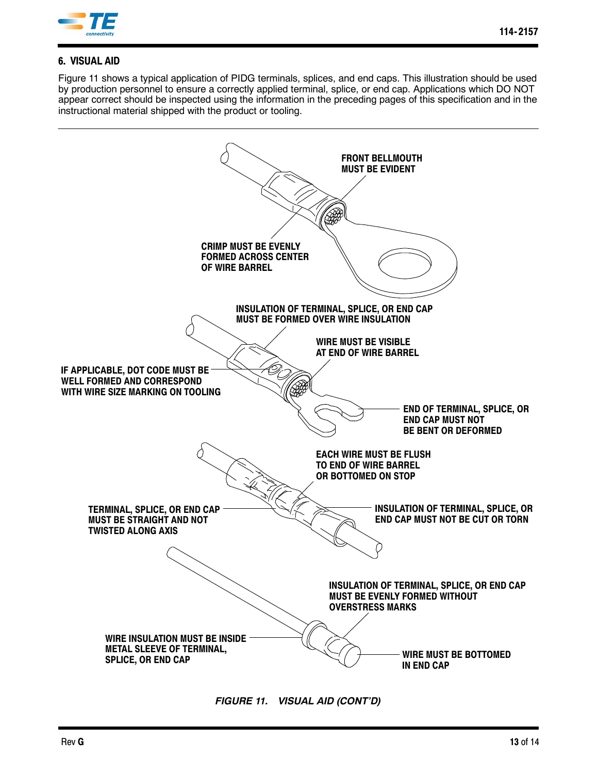

# **6. VISUAL AID**

Figure 11 shows a typical application of PIDG terminals, splices, and end caps. This illustration should be used by production personnel to ensure a correctly applied terminal, splice, or end cap. Applications which DO NOT appear correct should be inspected using the information in the preceding pages of this specification and in the instructional material shipped with the product or tooling.